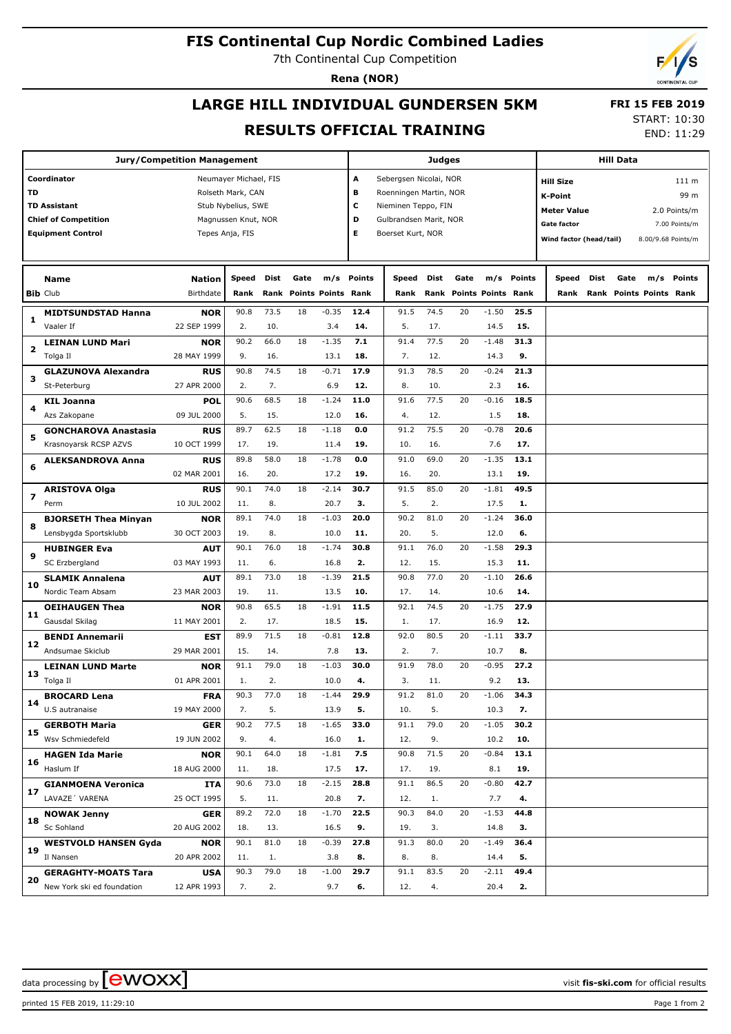## **FIS Continental Cup Nordic Combined Ladies**

7th Continental Cup Competition

**Rena (NOR)**

# **LARGE HILL INDIVIDUAL GUNDERSEN 5KM RESULTS OFFICIAL TRAINING**

 **FRI 15 FEB 2019** START: 10:30

END: 11:29

| <b>Jury/Competition Management</b> |                             |                       |                     |      |                         |         |                             | Judges                 |             |      |                         |            |                  | <b>Hill Data</b>                              |      |  |                         |
|------------------------------------|-----------------------------|-----------------------|---------------------|------|-------------------------|---------|-----------------------------|------------------------|-------------|------|-------------------------|------------|------------------|-----------------------------------------------|------|--|-------------------------|
|                                    | Coordinator                 | Neumayer Michael, FIS |                     |      |                         |         | Sebergsen Nicolai, NOR<br>A |                        |             |      |                         |            | <b>Hill Size</b> |                                               |      |  | 111 m                   |
| TD                                 |                             | Rolseth Mark, CAN     |                     |      |                         |         | в<br>Roenningen Martin, NOR |                        |             |      |                         |            | <b>K-Point</b>   |                                               |      |  | 99 m                    |
|                                    | <b>TD Assistant</b>         | Stub Nybelius, SWE    |                     |      |                         |         | c<br>Nieminen Teppo, FIN    |                        |             |      |                         |            |                  |                                               |      |  |                         |
|                                    | <b>Chief of Competition</b> |                       | Magnussen Knut, NOR |      |                         |         | D                           | Gulbrandsen Marit, NOR |             |      |                         |            |                  | <b>Meter Value</b><br>2.0 Points/m            |      |  |                         |
|                                    | <b>Equipment Control</b>    | Tepes Anja, FIS       |                     |      |                         |         | Е                           | Boerset Kurt, NOR      |             |      |                         |            |                  | Gate factor<br>7.00 Points/m                  |      |  |                         |
|                                    |                             |                       |                     |      |                         |         |                             |                        |             |      |                         |            |                  | Wind factor (head/tail)<br>8.00/9.68 Points/m |      |  |                         |
|                                    |                             |                       |                     |      |                         |         |                             |                        |             |      |                         |            |                  |                                               |      |  |                         |
|                                    | Name                        | <b>Nation</b>         | Speed               | Dist | Gate                    |         | m/s Points                  | Speed                  | <b>Dist</b> | Gate |                         | m/s Points | Speed            | Dist                                          | Gate |  | m/s Points              |
|                                    | <b>Bib Club</b>             | Birthdate             | Rank                |      | Rank Points Points Rank |         |                             | Rank                   |             |      | Rank Points Points Rank |            | Rank             |                                               |      |  | Rank Points Points Rank |
|                                    |                             |                       |                     |      |                         |         |                             |                        |             |      |                         |            |                  |                                               |      |  |                         |
| 1                                  | <b>MIDTSUNDSTAD Hanna</b>   | <b>NOR</b>            | 90.8                | 73.5 | 18                      | $-0.35$ | 12.4                        | 91.5                   | 74.5        | 20   | $-1.50$                 | 25.5       |                  |                                               |      |  |                         |
|                                    | Vaaler If                   | 22 SEP 1999           | 2.                  | 10.  |                         | 3.4     | 14.                         | 5.                     | 17.         |      | 14.5                    | 15.        |                  |                                               |      |  |                         |
| 2                                  | <b>LEINAN LUND Mari</b>     | <b>NOR</b>            | 90.2                | 66.0 | 18                      | $-1.35$ | 7.1                         | 91.4                   | 77.5        | 20   | $-1.48$                 | 31.3       |                  |                                               |      |  |                         |
| з<br>4<br>5<br>6                   | Tolga Il                    | 28 MAY 1999           | 9.                  | 16.  |                         | 13.1    | 18.                         | 7.                     | 12.         |      | 14.3                    | 9.         |                  |                                               |      |  |                         |
|                                    | <b>GLAZUNOVA Alexandra</b>  | <b>RUS</b>            | 90.8                | 74.5 | 18                      | $-0.71$ | 17.9                        | 91.3                   | 78.5        | 20   | $-0.24$                 | 21.3       |                  |                                               |      |  |                         |
|                                    | St-Peterburg                | 27 APR 2000           | 2.                  | 7.   |                         | 6.9     | 12.                         | 8.                     | 10.         |      | 2.3                     | 16.        |                  |                                               |      |  |                         |
|                                    | <b>KIL Joanna</b>           | <b>POL</b>            | 90.6                | 68.5 | 18                      | $-1.24$ | 11.0                        | 91.6                   | 77.5        | 20   | $-0.16$                 | 18.5       |                  |                                               |      |  |                         |
|                                    | Azs Zakopane                | 09 JUL 2000           | 5.                  | 15.  |                         | 12.0    | 16.                         | 4.                     | 12.         |      | 1.5                     | 18.        |                  |                                               |      |  |                         |
|                                    | <b>GONCHAROVA Anastasia</b> | <b>RUS</b>            | 89.7                | 62.5 | 18                      | $-1.18$ | 0.0                         | 91.2                   | 75.5        | 20   | $-0.78$                 | 20.6       |                  |                                               |      |  |                         |
|                                    | Krasnoyarsk RCSP AZVS       | 10 OCT 1999           | 17.                 | 19.  |                         | 11.4    | 19.                         | 10.                    | 16.         |      | 7.6                     | 17.        |                  |                                               |      |  |                         |
|                                    | ALEKSANDROVA Anna           | <b>RUS</b>            | 89.8                | 58.0 | 18                      | $-1.78$ | 0.0                         | 91.0                   | 69.0        | 20   | $-1.35$                 | 13.1       |                  |                                               |      |  |                         |
|                                    |                             | 02 MAR 2001           | 16.                 | 20.  |                         | 17.2    | 19.                         | 16.                    | 20.         |      | 13.1                    | 19.        |                  |                                               |      |  |                         |
| $\overline{\mathbf{z}}$            | <b>ARISTOVA Olga</b>        | <b>RUS</b>            | 90.1                | 74.0 | 18                      | $-2.14$ | 30.7                        | 91.5                   | 85.0        | 20   | $-1.81$                 | 49.5       |                  |                                               |      |  |                         |
|                                    | Perm                        | 10 JUL 2002           | 11.                 | 8.   |                         | 20.7    | з.                          | 5.                     | 2.          |      | 17.5                    | 1.         |                  |                                               |      |  |                         |
| 8                                  | <b>BJORSETH Thea Minyan</b> | <b>NOR</b>            | 89.1                | 74.0 | 18                      | $-1.03$ | 20.0                        | 90.2                   | 81.0        | 20   | $-1.24$                 | 36.0       |                  |                                               |      |  |                         |
|                                    | Lensbygda Sportsklubb       | 30 OCT 2003           | 19.                 | 8.   |                         | 10.0    | 11.                         | 20.                    | 5.          |      | 12.0                    | 6.         |                  |                                               |      |  |                         |
|                                    | <b>HUBINGER Eva</b>         | <b>AUT</b>            | 90.1                | 76.0 | 18                      | $-1.74$ | 30.8                        | 91.1                   | 76.0        | 20   | $-1.58$                 | 29.3       |                  |                                               |      |  |                         |
| 9                                  | SC Erzbergland              | 03 MAY 1993           | 11.                 | 6.   |                         | 16.8    | 2.                          | 12.                    | 15.         |      | 15.3                    | 11.        |                  |                                               |      |  |                         |
|                                    | <b>SLAMIK Annalena</b>      | <b>AUT</b>            | 89.1                | 73.0 | 18                      | $-1.39$ | 21.5                        | 90.8                   | 77.0        | 20   | $-1.10$                 | 26.6       |                  |                                               |      |  |                         |
| 10                                 | Nordic Team Absam           | 23 MAR 2003           | 19.                 | 11.  |                         | 13.5    | 10.                         | 17.                    | 14.         |      | 10.6                    | 14.        |                  |                                               |      |  |                         |
|                                    | <b>OEIHAUGEN Thea</b>       | <b>NOR</b>            | 90.8                | 65.5 | 18                      | $-1.91$ | 11.5                        | 92.1                   | 74.5        | 20   | $-1.75$                 | 27.9       |                  |                                               |      |  |                         |
| 11                                 | Gausdal Skilag              | 11 MAY 2001           | 2.                  | 17.  |                         | 18.5    | 15.                         | 1.                     | 17.         |      | 16.9                    | 12.        |                  |                                               |      |  |                         |
|                                    | <b>BENDI Annemarii</b>      | <b>EST</b>            | 89.9                | 71.5 | 18                      | $-0.81$ | 12.8                        | 92.0                   | 80.5        | 20   | $-1.11$                 | 33.7       |                  |                                               |      |  |                         |
| 12                                 | Andsumae Skiclub            | 29 MAR 2001           | 15.                 | 14.  |                         | 7.8     | 13.                         | 2.                     | 7.          |      | 10.7                    | 8.         |                  |                                               |      |  |                         |
|                                    | <b>LEINAN LUND Marte</b>    | <b>NOR</b>            | 91.1                | 79.0 | 18                      | $-1.03$ | 30.0                        | 91.9                   | 78.0        | 20   | $-0.95$                 | 27.2       |                  |                                               |      |  |                         |
| 13                                 | Tolga Il                    | 01 APR 2001           | 1.                  | 2.   |                         | 10.0    | 4.                          | 3.                     | 11.         |      | 9.2                     | 13.        |                  |                                               |      |  |                         |
| 14<br>15                           | <b>BROCARD Lena</b>         | <b>FRA</b>            | 90.3                | 77.0 | 18                      | $-1.44$ | 29.9                        | 91.2                   | 81.0        | 20   | $-1.06$                 | 34.3       |                  |                                               |      |  |                         |
|                                    | U.S autranaise              | 19 MAY 2000           | 7.                  | 5.   |                         | 13.9    | 5.                          | 10.                    | 5.          |      | 10.3                    | 7.         |                  |                                               |      |  |                         |
|                                    | <b>GERBOTH Maria</b>        | <b>GER</b>            | 90.2                | 77.5 | 18                      | $-1.65$ | 33.0                        | 91.1                   | 79.0        | 20   | $-1.05$                 | 30.2       |                  |                                               |      |  |                         |
|                                    | Wsv Schmiedefeld            | 19 JUN 2002           | 9.                  | 4.   |                         | 16.0    | 1.                          | 12.                    | 9.          |      | 10.2                    | 10.        |                  |                                               |      |  |                         |
| 16<br>17                           | <b>HAGEN Ida Marie</b>      | <b>NOR</b>            | 90.1                | 64.0 | 18                      | $-1.81$ | 7.5                         | 90.8                   | 71.5        | 20   | $-0.84$                 | 13.1       |                  |                                               |      |  |                         |
|                                    | Haslum If                   | 18 AUG 2000           | 11.                 | 18.  |                         | 17.5    | 17.                         | 17.                    | 19.         |      | 8.1                     | 19.        |                  |                                               |      |  |                         |
|                                    | <b>GIANMOENA Veronica</b>   | <b>ITA</b>            | 90.6                | 73.0 | 18                      | $-2.15$ | 28.8                        | 91.1                   | 86.5        | 20   | $-0.80$                 | 42.7       |                  |                                               |      |  |                         |
|                                    | LAVAZE' VARENA              | 25 OCT 1995           | 5.                  | 11.  |                         | 20.8    | 7.                          | 12.                    | 1.          |      | 7.7                     | 4.         |                  |                                               |      |  |                         |
| 18                                 | <b>NOWAK Jenny</b>          | <b>GER</b>            | 89.2                | 72.0 | 18                      | $-1.70$ | 22.5                        | 90.3                   | 84.0        | 20   | $-1.53$                 | 44.8       |                  |                                               |      |  |                         |
|                                    | Sc Sohland                  | 20 AUG 2002           | 18.                 | 13.  |                         | 16.5    | 9.                          | 19.                    | 3.          |      | 14.8                    | З.         |                  |                                               |      |  |                         |
|                                    | <b>WESTVOLD HANSEN Gyda</b> | <b>NOR</b>            | 90.1                | 81.0 | 18                      | $-0.39$ | 27.8                        | 91.3                   | 80.0        | 20   | $-1.49$                 | 36.4       |                  |                                               |      |  |                         |
| 19                                 | Il Nansen                   | 20 APR 2002           | 11.                 | 1.   |                         | 3.8     | 8.                          | 8.                     | 8.          |      | 14.4                    | 5.         |                  |                                               |      |  |                         |
| 20                                 | <b>GERAGHTY-MOATS Tara</b>  | <b>USA</b>            | 90.3                | 79.0 | 18                      | $-1.00$ | 29.7                        | 91.1                   | 83.5        | 20   | $-2.11$                 | 49.4       |                  |                                               |      |  |                         |
|                                    | New York ski ed foundation  | 12 APR 1993           | 7.                  | 2.   |                         | 9.7     | 6.                          |                        | 4.          |      | 20.4                    | 2.         |                  |                                               |      |  |                         |
|                                    |                             |                       |                     |      |                         |         |                             | 12.                    |             |      |                         |            |                  |                                               |      |  |                         |

data processing by  $\boxed{\text{ewOX}}$